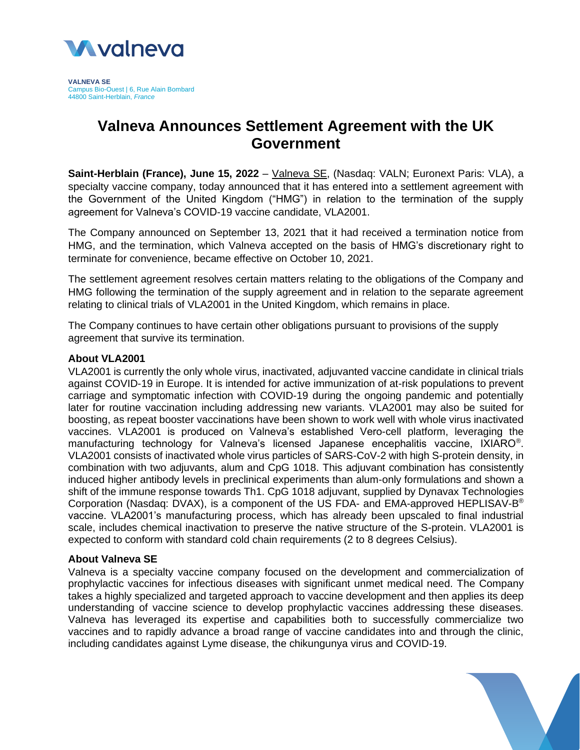

**VALNEVA SE** Campus Bio-Ouest | 6, Rue Alain Bombard 44800 Saint-Herblain, *France*

# **Valneva Announces Settlement Agreement with the UK Government**

**Saint-Herblain (France), June 15, 2022** – [Valneva](http://www.valneva.com/) SE, (Nasdaq: VALN; Euronext Paris: VLA), a specialty vaccine company, today announced that it has entered into a settlement agreement with the Government of the United Kingdom ("HMG") in relation to the termination of the supply agreement for Valneva's COVID-19 vaccine candidate, VLA2001.

The Company announced on September 13, 2021 that it had received a termination notice from HMG, and the termination, which Valneva accepted on the basis of HMG's discretionary right to terminate for convenience, became effective on October 10, 2021.

The settlement agreement resolves certain matters relating to the obligations of the Company and HMG following the termination of the supply agreement and in relation to the separate agreement relating to clinical trials of VLA2001 in the United Kingdom, which remains in place.

The Company continues to have certain other obligations pursuant to provisions of the supply agreement that survive its termination.

### **About VLA2001**

VLA2001 is currently the only whole virus, inactivated, adjuvanted vaccine candidate in clinical trials against COVID-19 in Europe. It is intended for active immunization of at-risk populations to prevent carriage and symptomatic infection with COVID-19 during the ongoing pandemic and potentially later for routine vaccination including addressing new variants. VLA2001 may also be suited for boosting, as repeat booster vaccinations have been shown to work well with whole virus inactivated vaccines. VLA2001 is produced on Valneva's established Vero-cell platform, leveraging the manufacturing technology for Valneva's licensed Japanese encephalitis vaccine, IXIARO<sup>®</sup>. VLA2001 consists of inactivated whole virus particles of SARS-CoV-2 with high S-protein density, in combination with two adjuvants, alum and CpG 1018. This adjuvant combination has consistently induced higher antibody levels in preclinical experiments than alum-only formulations and shown a shift of the immune response towards Th1. CpG 1018 adjuvant, supplied by Dynavax Technologies Corporation (Nasdaq: DVAX), is a component of the US FDA- and EMA-approved HEPLISAV-B<sup>®</sup> vaccine. VLA2001's manufacturing process, which has already been upscaled to final industrial scale, includes chemical inactivation to preserve the native structure of the S-protein. VLA2001 is expected to conform with standard cold chain requirements (2 to 8 degrees Celsius).

#### **About Valneva SE**

Valneva is a specialty vaccine company focused on the development and commercialization of prophylactic vaccines for infectious diseases with significant unmet medical need. The Company takes a highly specialized and targeted approach to vaccine development and then applies its deep understanding of vaccine science to develop prophylactic vaccines addressing these diseases. Valneva has leveraged its expertise and capabilities both to successfully commercialize two vaccines and to rapidly advance a broad range of vaccine candidates into and through the clinic, including candidates against Lyme disease, the chikungunya virus and COVID-19.